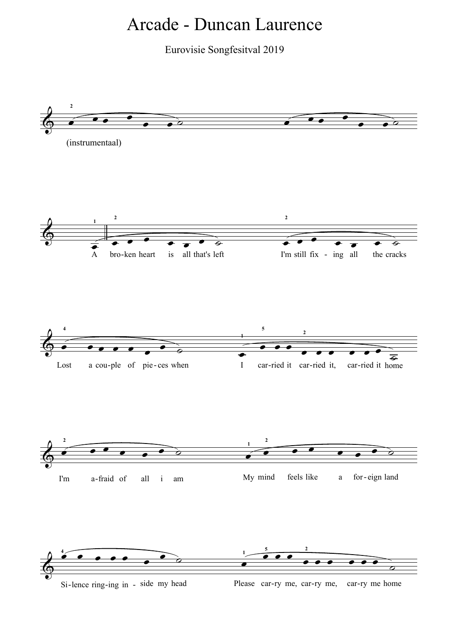## Arcade - Duncan Laurence

Eurovisie Songfesitval 2019



Si-lence ring-ing in - side my head Please car-ry me, car-ry me, car-ry me home